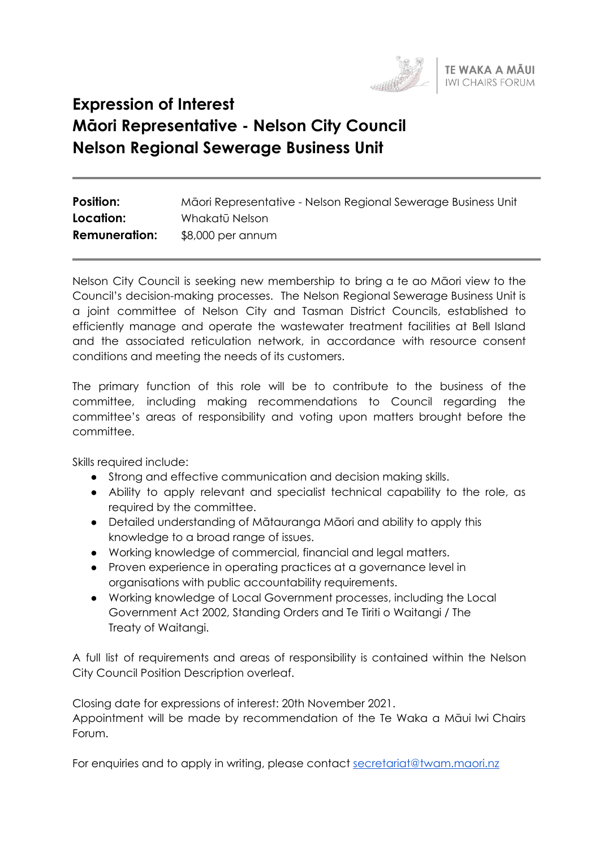

# **Expression of Interest Māori Representative - Nelson City Council Nelson Regional Sewerage Business Unit**

| <b>Position:</b>     | Māori Representative - Nelson Regional Sewerage Business Unit |
|----------------------|---------------------------------------------------------------|
| Location:            | Whakatū Nelson                                                |
| <b>Remuneration:</b> | $$8,000$ per annum                                            |

Nelson City Council is seeking new membership to bring a te ao Māori view to the Council's decision-making processes. The Nelson Regional Sewerage Business Unit is a joint committee of Nelson City and Tasman District Councils, established to efficiently manage and operate the wastewater treatment facilities at Bell Island and the associated reticulation network, in accordance with resource consent conditions and meeting the needs of its customers.

The primary function of this role will be to contribute to the business of the committee, including making recommendations to Council regarding the committee's areas of responsibility and voting upon matters brought before the committee.

Skills required include:

- Strong and effective communication and decision making skills.
- Ability to apply relevant and specialist technical capability to the role, as required by the committee.
- Detailed understanding of Mātauranga Māori and ability to apply this knowledge to a broad range of issues.
- Working knowledge of commercial, financial and legal matters.
- Proven experience in operating practices at a governance level in organisations with public accountability requirements.
- Working knowledge of Local Government processes, including the Local Government Act 2002, Standing Orders and Te Tiriti o Waitangi / The Treaty of Waitangi.

A full list of requirements and areas of responsibility is contained within the Nelson City Council Position Description overleaf.

Closing date for expressions of interest: 20th November 2021. Appointment will be made by recommendation of the Te Waka a Māui Iwi Chairs Forum.

For enquiries and to apply in writing, please contact [secretariat@twam.maori.nz](mailto:secretariat@twam.maori.nz)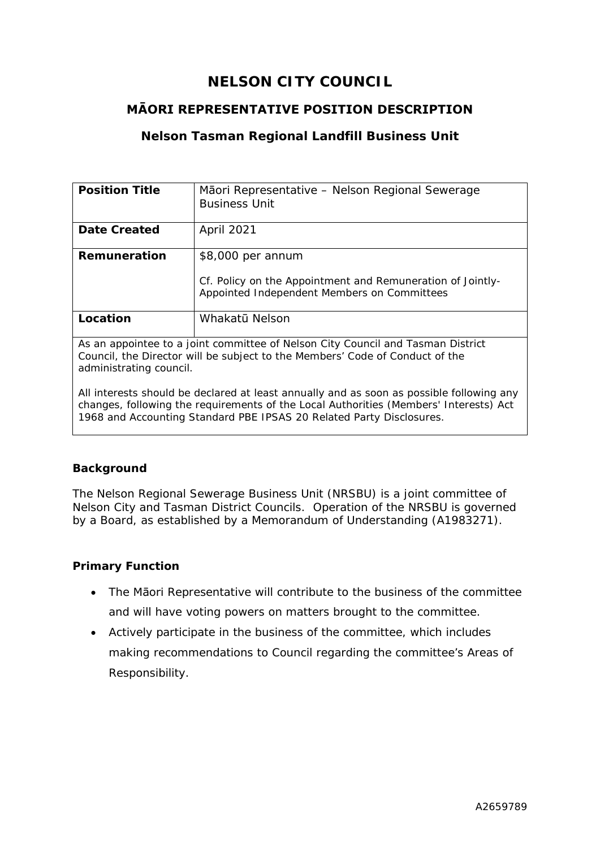# **NELSON CITY COUNCIL**

# **MĀORI REPRESENTATIVE POSITION DESCRIPTION**

# **Nelson Tasman Regional Landfill Business Unit**

| <b>Position Title</b>                                                                                                                                                                      | Mãori Representative – Nelson Regional Sewerage                                                           |
|--------------------------------------------------------------------------------------------------------------------------------------------------------------------------------------------|-----------------------------------------------------------------------------------------------------------|
|                                                                                                                                                                                            | <b>Business Unit</b>                                                                                      |
|                                                                                                                                                                                            |                                                                                                           |
| <b>Date Created</b>                                                                                                                                                                        | April 2021                                                                                                |
| Remuneration                                                                                                                                                                               | \$8,000 per annum                                                                                         |
|                                                                                                                                                                                            | Cf. Policy on the Appointment and Remuneration of Jointly-<br>Appointed Independent Members on Committees |
| Location                                                                                                                                                                                   | Whakatū Nelson                                                                                            |
| As an appointee to a joint committee of Nelson City Council and Tasman District<br>Council, the Director will be subject to the Members' Code of Conduct of the<br>administrating council. |                                                                                                           |
| All interests should be declared at least annually and as soon as possible following any                                                                                                   |                                                                                                           |

changes, following the requirements of the Local Authorities (Members' Interests) Act 1968 and Accounting Standard PBE IPSAS 20 Related Party Disclosures.

#### **Background**

The Nelson Regional Sewerage Business Unit (NRSBU) is a joint committee of Nelson City and Tasman District Councils. Operation of the NRSBU is governed by a Board, as established by a Memorandum of Understanding (A1983271).

#### **Primary Function**

- The Māori Representative will contribute to the business of the committee and will have voting powers on matters brought to the committee.
- Actively participate in the business of the committee, which includes making recommendations to Council regarding the committee's Areas of Responsibility.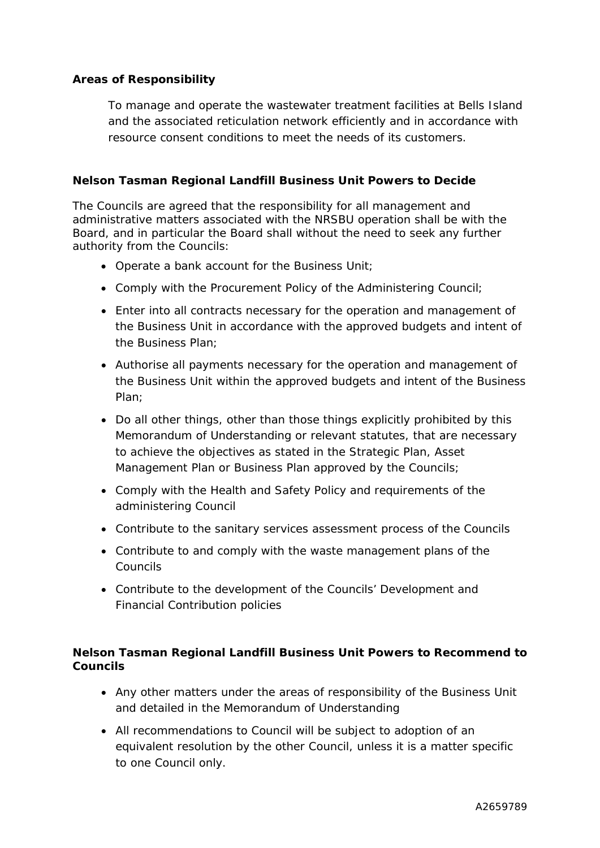#### **Areas of Responsibility**

To manage and operate the wastewater treatment facilities at Bells Island and the associated reticulation network efficiently and in accordance with resource consent conditions to meet the needs of its customers.

#### **Nelson Tasman Regional Landfill Business Unit Powers to Decide**

The Councils are agreed that the responsibility for all management and administrative matters associated with the NRSBU operation shall be with the Board, and in particular the Board shall without the need to seek any further authority from the Councils:

- Operate a bank account for the Business Unit;
- Comply with the Procurement Policy of the Administering Council;
- Enter into all contracts necessary for the operation and management of the Business Unit in accordance with the approved budgets and intent of the Business Plan;
- Authorise all payments necessary for the operation and management of the Business Unit within the approved budgets and intent of the Business Plan;
- Do all other things, other than those things explicitly prohibited by this Memorandum of Understanding or relevant statutes, that are necessary to achieve the objectives as stated in the Strategic Plan, Asset Management Plan or Business Plan approved by the Councils;
- Comply with the Health and Safety Policy and requirements of the administering Council
- Contribute to the sanitary services assessment process of the Councils
- Contribute to and comply with the waste management plans of the Councils
- Contribute to the development of the Councils' Development and Financial Contribution policies

#### **Nelson Tasman Regional Landfill Business Unit Powers to Recommend to Councils**

- Any other matters under the areas of responsibility of the Business Unit and detailed in the Memorandum of Understanding
- All recommendations to Council will be subject to adoption of an equivalent resolution by the other Council, unless it is a matter specific to one Council only.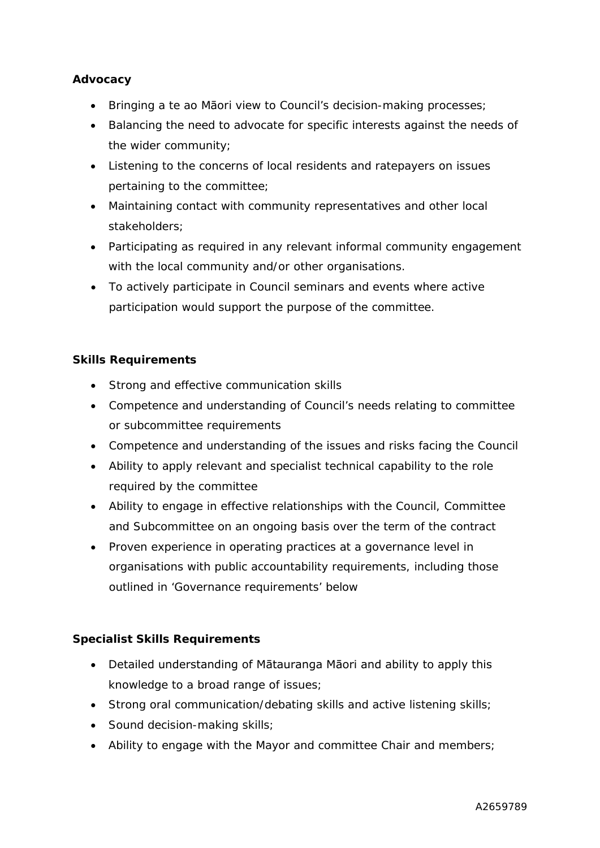#### **Advocacy**

- Bringing a te ao Māori view to Council's decision-making processes;
- Balancing the need to advocate for specific interests against the needs of the wider community;
- Listening to the concerns of local residents and ratepayers on issues pertaining to the committee;
- Maintaining contact with community representatives and other local stakeholders;
- Participating as required in any relevant informal community engagement with the local community and/or other organisations.
- To actively participate in Council seminars and events where active participation would support the purpose of the committee.

# **Skills Requirements**

- Strong and effective communication skills
- Competence and understanding of Council's needs relating to committee or subcommittee requirements
- Competence and understanding of the issues and risks facing the Council
- Ability to apply relevant and specialist technical capability to the role required by the committee
- Ability to engage in effective relationships with the Council, Committee and Subcommittee on an ongoing basis over the term of the contract
- Proven experience in operating practices at a governance level in organisations with public accountability requirements, including those outlined in 'Governance requirements' below

#### **Specialist Skills Requirements**

- Detailed understanding of Mātauranga Māori and ability to apply this knowledge to a broad range of issues;
- Strong oral communication/debating skills and active listening skills;
- Sound decision-making skills;
- Ability to engage with the Mayor and committee Chair and members;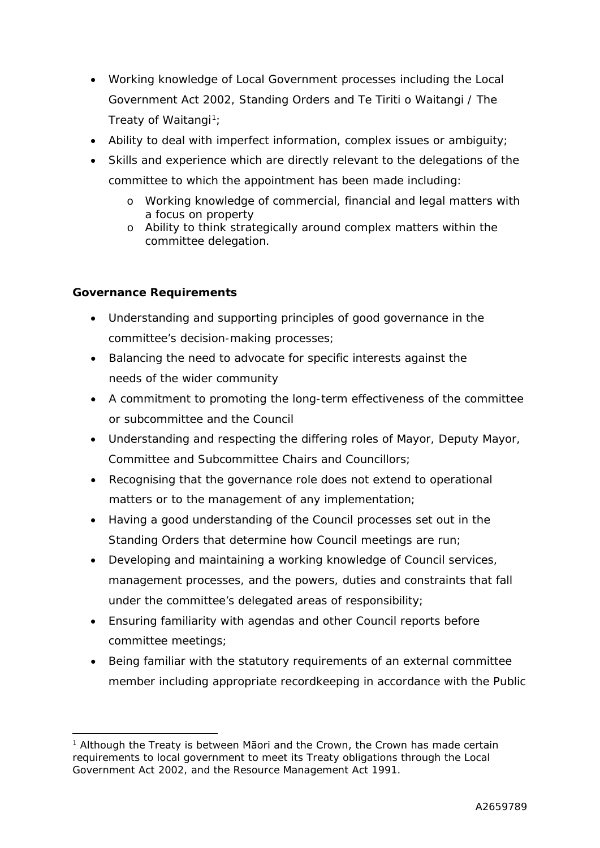- Working knowledge of Local Government processes including the Local Government Act 2002, Standing Orders and Te Tiriti o Waitangi / The Treaty of Waitangi<sup>1</sup>;
- Ability to deal with imperfect information, complex issues or ambiguity;
- Skills and experience which are directly relevant to the delegations of the committee to which the appointment has been made including:
	- o Working knowledge of commercial, financial and legal matters with a focus on property
	- o Ability to think strategically around complex matters within the committee delegation.

# **Governance Requirements**

- Understanding and supporting principles of good governance in the committee's decision-making processes;
- Balancing the need to advocate for specific interests against the needs of the wider community
- A commitment to promoting the long-term effectiveness of the committee or subcommittee and the Council
- Understanding and respecting the differing roles of Mayor, Deputy Mayor, Committee and Subcommittee Chairs and Councillors;
- Recognising that the governance role does not extend to operational matters or to the management of any implementation;
- Having a good understanding of the Council processes set out in the Standing Orders that determine how Council meetings are run;
- Developing and maintaining a working knowledge of Council services, management processes, and the powers, duties and constraints that fall under the committee's delegated areas of responsibility;
- Ensuring familiarity with agendas and other Council reports before committee meetings;
- Being familiar with the statutory requirements of an external committee member including appropriate recordkeeping in accordance with the Public

<sup>&</sup>lt;sup>1</sup> Although the Treaty is between Māori and the Crown, the Crown has made certain requirements to local government to meet its Treaty obligations through the Local Government Act 2002, and the Resource Management Act 1991.